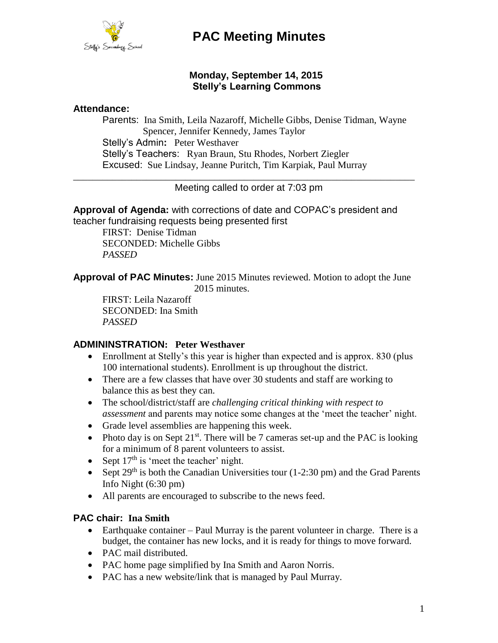

# **PAC Meeting Minutes**

# **Monday, September 14, 2015 Stelly's Learning Commons**

#### **Attendance:**

Parents: Ina Smith, Leila Nazaroff, Michelle Gibbs, Denise Tidman, Wayne Spencer, Jennifer Kennedy, James Taylor Stelly's Admin**:** Peter Westhaver Stelly's Teachers: Ryan Braun, Stu Rhodes, Norbert Ziegler Excused: Sue Lindsay, Jeanne Puritch, Tim Karpiak, Paul Murray

\_\_\_\_\_\_\_\_\_\_\_\_\_\_\_\_\_\_\_\_\_\_\_\_\_\_\_\_\_\_\_\_\_\_\_\_\_\_\_\_\_\_\_\_\_\_\_\_\_\_\_\_\_\_\_\_\_\_\_\_\_\_\_\_\_\_\_\_\_\_ Meeting called to order at 7:03 pm

**Approval of Agenda:** with corrections of date and COPAC's president and teacher fundraising requests being presented first

FIRST: Denise Tidman SECONDED: Michelle Gibbs *PASSED*

**Approval of PAC Minutes:** June 2015 Minutes reviewed. Motion to adopt the June 2015 minutes.

FIRST: Leila Nazaroff SECONDED: Ina Smith *PASSED*

### **ADMININSTRATION: Peter Westhaver**

- Enrollment at Stelly's this year is higher than expected and is approx. 830 (plus 100 international students). Enrollment is up throughout the district.
- There are a few classes that have over 30 students and staff are working to balance this as best they can.
- The school/district/staff are *challenging critical thinking with respect to assessment* and parents may notice some changes at the 'meet the teacher' night.
- Grade level assemblies are happening this week.
- Photo day is on Sept  $21^{st}$ . There will be 7 cameras set-up and the PAC is looking for a minimum of 8 parent volunteers to assist.
- Sept  $17<sup>th</sup>$  is 'meet the teacher' night.
- Sept  $29<sup>th</sup>$  is both the Canadian Universities tour (1-2:30 pm) and the Grad Parents Info Night (6:30 pm)
- All parents are encouraged to subscribe to the news feed.

### **PAC chair: Ina Smith**

- $\bullet$  Earthquake container Paul Murray is the parent volunteer in charge. There is a budget, the container has new locks, and it is ready for things to move forward.
- PAC mail distributed.
- PAC home page simplified by Ina Smith and Aaron Norris.
- PAC has a new website/link that is managed by Paul Murray.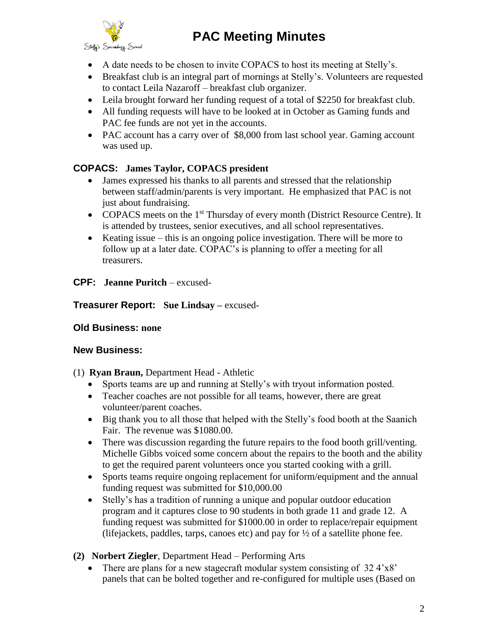# **PAC Meeting Minutes**



- A date needs to be chosen to invite COPACS to host its meeting at Stelly's.
- Breakfast club is an integral part of mornings at Stelly's. Volunteers are requested to contact Leila Nazaroff – breakfast club organizer.
- Leila brought forward her funding request of a total of \$2250 for breakfast club.
- All funding requests will have to be looked at in October as Gaming funds and PAC fee funds are not yet in the accounts.
- PAC account has a carry over of \$8,000 from last school year. Gaming account was used up.

# **COPACS: James Taylor, COPACS president**

- James expressed his thanks to all parents and stressed that the relationship between staff/admin/parents is very important. He emphasized that PAC is not just about fundraising.
- COPACS meets on the  $1<sup>st</sup>$  Thursday of every month (District Resource Centre). It is attended by trustees, senior executives, and all school representatives.
- Keating issue this is an ongoing police investigation. There will be more to follow up at a later date. COPAC's is planning to offer a meeting for all treasurers.

# **CPF: Jeanne Puritch** – excused-

**Treasurer Report: Sue Lindsay –** excused-

# **Old Business: none**

# **New Business:**

### (1) **Ryan Braun,** Department Head - Athletic

- Sports teams are up and running at Stelly's with tryout information posted.
- Teacher coaches are not possible for all teams, however, there are great volunteer/parent coaches.
- Big thank you to all those that helped with the Stelly's food booth at the Saanich Fair. The revenue was \$1080.00.
- There was discussion regarding the future repairs to the food booth grill/venting. Michelle Gibbs voiced some concern about the repairs to the booth and the ability to get the required parent volunteers once you started cooking with a grill.
- Sports teams require ongoing replacement for uniform/equipment and the annual funding request was submitted for \$10,000.00
- Stelly's has a tradition of running a unique and popular outdoor education program and it captures close to 90 students in both grade 11 and grade 12. A funding request was submitted for \$1000.00 in order to replace/repair equipment (lifejackets, paddles, tarps, canoes etc) and pay for  $\frac{1}{2}$  of a satellite phone fee.
- **(2) Norbert Ziegler**, Department Head Performing Arts
	- There are plans for a new stagecraft modular system consisting of  $32.4 \times 8'$ panels that can be bolted together and re-configured for multiple uses (Based on